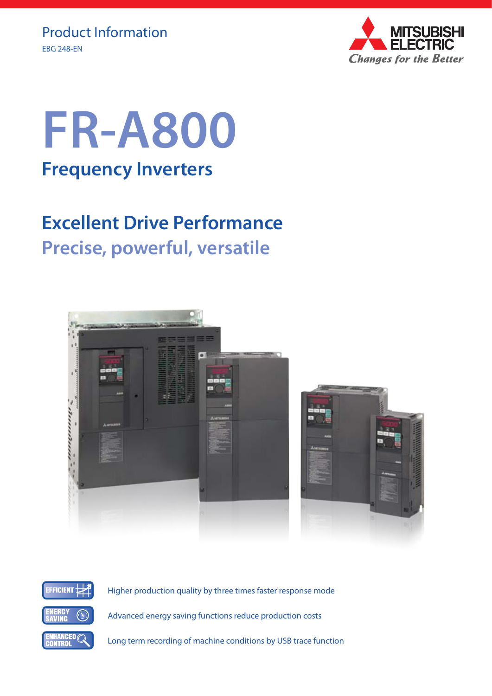

# **FR-A800 Frequency Inverters**

## **Excellent Drive Performance Precise, powerful, versatile**





Higher production quality by three times faster response mode

Advanced energy saving functions reduce production costs

Long term recording of machine conditions by USB trace function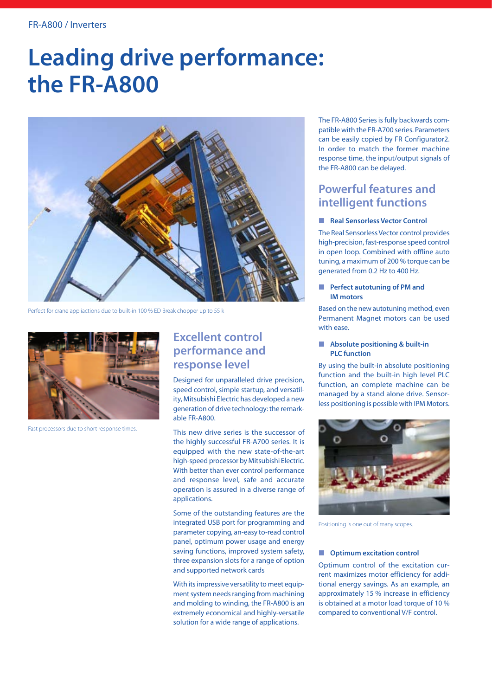## **Leading drive performance: the FR-A800**



Perfect for crane appliactions due to built-in 100 % ED Break chopper up to 55 k



Fast processors due to short response times.

## **Excellent control performance and response level**

Designed for unparalleled drive precision, speed control, simple startup, and versatility, Mitsubishi Electric has developed a new generation of drive technology: the remarkable FR-A800.

This new drive series is the successor of the highly successful FR-A700 series. It is equipped with the new state-of-the-art high-speed processor by Mitsubishi Electric. With better than ever control performance and response level, safe and accurate operation is assured in a diverse range of applications.

Some of the outstanding features are the integrated USB port for programming and parameter copying, an-easy to-read control panel, optimum power usage and energy saving functions, improved system safety, three expansion slots for a range of option and supported network cards

With its impressive versatility to meet equipment system needs ranging from machining and molding to winding, the FR-A800 is an extremely economical and highly-versatile solution for a wide range of applications.

The FR-A800 Series is fully backwards compatible with the FR-A700 series. Parameters can be easily copied by FR Configurator2. In order to match the former machine response time, the input/output signals of the FR-A800 can be delayed.

## **Powerful features and intelligent functions**

#### **Real Sensorless Vector Control**

The Real Sensorless Vector control provides high-precision, fast-response speed control in open loop. Combined with offline auto tuning, a maximum of 200 % torque can be generated from 0.2 Hz to 400 Hz.

#### **Perfect autotuning of PM and IM motors**

Based on the new autotuning method, even Permanent Magnet motors can be used with ease.

#### **Absolute positioning & built-in PLC function**

By using the built-in absolute positioning function and the built-in high level PLC function, an complete machine can be managed by a stand alone drive. Sensorless positioning is possible with IPM Motors.



Positioning is one out of many scopes.

#### $\blacksquare$  Optimum excitation control

Optimum control of the excitation current maximizes motor efficiency for additional energy savings. As an example, an approximately 15 % increase in efficiency is obtained at a motor load torque of 10 % compared to conventional V/F control.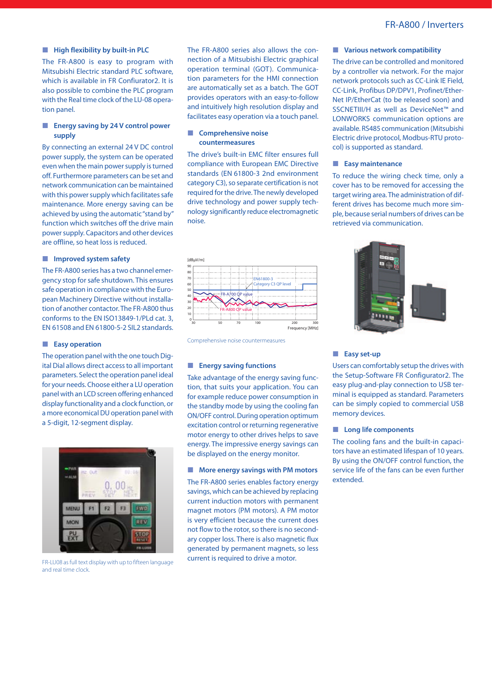#### **High flexibility by built-in PLC**

The FR-A800 is easy to program with Mitsubishi Electric standard PLC software, which is available in FR Confiurator2. It is also possible to combine the PLC program with the Real time clock of the LU-08 operation panel.

#### **Energy saving by 24 V control power supply**

By connecting an external 24 V DC control power supply, the system can be operated even when the main power supply is turned off. Furthermore parameters can be set and network communication can be maintained with this power supply which facilitates safe maintenance. More energy saving can be achieved by using the automatic "stand by" function which switches off the drive main power supply. Capacitors and other devices are offline, so heat loss is reduced.

#### **Improved system safety**

The FR-A800 series has a two channel emergency stop for safe shutdown. This ensures safe operation in compliance with the European Machinery Directive without installation of another contactor. The FR-A800 thus conforms to the EN ISO13849-1/PLd cat. 3, EN 61508 and EN 61800-5-2 SIL2 standards.

#### **Easy operation**

The operation panel with the one touch Digital Dial allows direct access to all important parameters. Select the operation panel ideal for your needs. Choose either a LU operation panel with an LCD screen offering enhanced display functionality and a clock function, or a more economical DU operation panel with a 5-digit, 12-segment display.



FR-LU08 as full text display with up to fifteen language and real time clock.

The FR-A800 series also allows the connection of a Mitsubishi Electric graphical operation terminal (GOT). Communication parameters for the HMI connection are automatically set as a batch. The GOT provides operators with an easy-to-follow and intuitively high resolution display and facilitates easy operation via a touch panel.

#### **Comprehensive noise countermeasures**

The drive's built-in EMC filter ensures full compliance with European EMC Directive standards (EN 61800-3 2nd environment category C3), so separate certification is not required for the drive. The newly developed drive technology and power supply technology significantly reduce electromagnetic noise.



Comprehensive noise countermeasures

#### **Energy saving functions**

Take advantage of the energy saving function, that suits your application. You can for example reduce power consumption in the standby mode by using the cooling fan ON/OFF control. During operation optimum excitation control or returning regenerative motor energy to other drives helps to save energy. The impressive energy savings can be displayed on the energy monitor.

#### **More energy savings with PM motors**

The FR-A800 series enables factory energy savings, which can be achieved by replacing current induction motors with permanent magnet motors (PM motors). A PM motor is very efficient because the current does not flow to the rotor, so there is no secondary copper loss. There is also magnetic flux generated by permanent magnets, so less current is required to drive a motor.

#### **Various network compatibility**

The drive can be controlled and monitored by a controller via network. For the major network protocols such as CC-Link IE Field, CC-Link, Profibus DP/DPV1, Profinet/Ether-Net IP/EtherCat (to be released soon) and SSCNETIII/H as well as DeviceNet™ and LONWORKS communication options are available. RS485 communication (Mitsubishi Electric drive protocol, Modbus-RTU protocol) is supported as standard.

#### **Easy maintenance**

To reduce the wiring check time, only a cover has to be removed for accessing the target wiring area. The administration of different drives has become much more simple, because serial numbers of drives can be retrieved via communication.



#### **Easy set-up**

Users can comfortably setup the drives with the Setup-Software FR Configurator2. The easy plug-and-play connection to USB terminal is equipped as standard. Parameters can be simply copied to commercial USB memory devices.

#### **Long life components**

The cooling fans and the built-in capacitors have an estimated lifespan of 10 years. By using the ON/OFF control function, the service life of the fans can be even further extended.